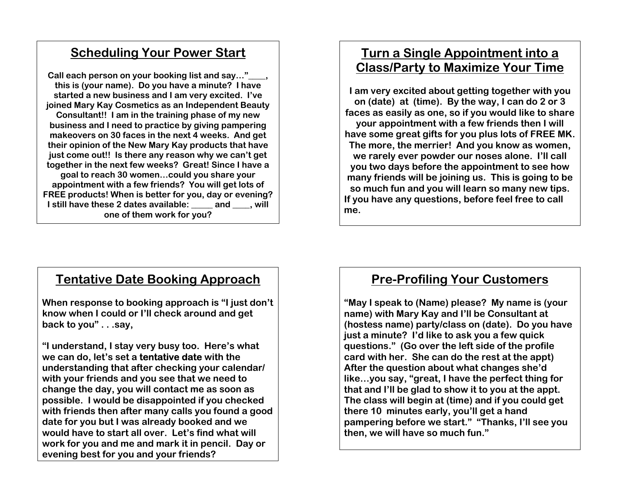# **Scheduling Your Power Start**

Call each person on your booking list and say..." **this is (your name). Do you have a minute? I have started a new business and I am very excited. I've joined Mary Kay Cosmetics as an Independent Beauty Consultant!! I am in the training phase of my new business and I need to practice by giving pampering makeovers on 30 faces in the next 4 weeks. And get their opinion of the New Mary Kay products that have just come out!! Is there any reason why we can't get together in the next few weeks? Great! Since I have a goal to reach 30 women…could you share your appointment with a few friends? You will get lots of FREE products! When is better for you, day or evening? I still have these 2 dates available: \_\_\_\_\_ and \_\_\_\_, will one of them work for you?**

# **Turn a Single Appointment into a Class/Party to Maximize Your Time**

**I am very excited about getting together with you on (date) at (time). By the way, I can do 2 or 3 faces as easily as one, so if you would like to share your appointment with a few friends then I will have some great gifts for you plus lots of FREE MK. The more, the merrier! And you know as women, we rarely ever powder our noses alone. I'll call you two days before the appointment to see how many friends will be joining us. This is going to be so much fun and you will learn so many new tips. If you have any questions, before feel free to call me.** 

## **Tentative Date Booking Approach**

**When response to booking approach is "I just don't know when I could or I'll check around and get back to you" . . .say,** 

**"I understand, I stay very busy too. Here's what we can do, let's set a tentative date with the understanding that after checking your calendar/ with your friends and you see that we need to change the day, you will contact me as soon as possible. I would be disappointed if you checked with friends then after many calls you found a good date for you but I was already booked and we would have to start all over. Let's find what will work for you and me and mark it in pencil. Day or evening best for you and your friends?** 

# **Pre-Profiling Your Customers**

**"May I speak to (Name) please? My name is (your name) with Mary Kay and I'll be Consultant at (hostess name) party/class on (date). Do you have just a minute? I'd like to ask you a few quick questions." (Go over the left side of the profile card with her. She can do the rest at the appt) After the question about what changes she'd like…you say, "great, I have the perfect thing for that and I'll be glad to show it to you at the appt. The class will begin at (time) and if you could get there 10 minutes early, you'll get a hand pampering before we start." "Thanks, I'll see you then, we will have so much fun."**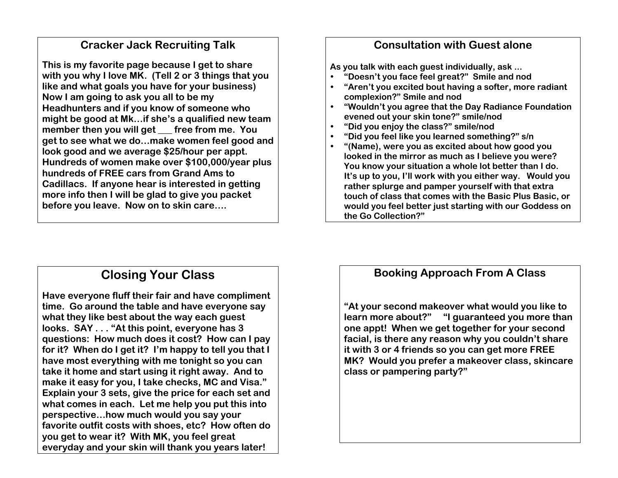### **Cracker Jack Recruiting Talk**

**This is my favorite page because I get to share with you why I love MK. (Tell 2 or 3 things that you like and what goals you have for your business) Now I am going to ask you all to be my Headhunters and if you know of someone who might be good at Mk…if she's a qualified new team**  member then you will get free from me. You **get to see what we do…make women feel good and look good and we average \$25/hour per appt. Hundreds of women make over \$100,000/year plus hundreds of FREE cars from Grand Ams to Cadillacs. If anyone hear is interested in getting more info then I will be glad to give you packet before you leave. Now on to skin care….** 

## **Consultation with Guest alone**

**As you talk with each guest individually, ask ...** 

- e **"Doesn't you face feel great?" Smile and nod**
- e **"Aren't you excited bout having a softer, more radiant complexion?" Smile and nod**
- e **"Wouldn't you agree that the Day Radiance Foundation evened out your skin tone?" smile/nod**
- e **"Did you enjoy the class?" smile/nod**
- e **"Did you feel like you learned something?" s/n**
- e **"(Name), were you as excited about how good you looked in the mirror as much as I believe you were? You know your situation a whole lot better than I do. It's up to you, I'll work with you either way. Would you rather splurge and pamper yourself with that extra touch of class that comes with the Basic Plus Basic, or would you feel better just starting with our Goddess on the Go Collection?"**

# **Closing Your Class**

**Have everyone fluff their fair and have compliment time. Go around the table and have everyone say what they like best about the way each guest looks. SAY . . . "At this point, everyone has 3 questions: How much does it cost? How can I pay for it? When do I get it? I'm happy to tell you that I have most everything with me tonight so you can take it home and start using it right away. And to make it easy for you, I take checks, MC and Visa." Explain your 3 sets, give the price for each set and what comes in each. Let me help you put this into perspective…how much would you say your favorite outfit costs with shoes, etc? How often do you get to wear it? With MK, you feel great everyday and your skin will thank you years later!** 

## **Booking Approach From A Class**

**"At your second makeover what would you like to learn more about?" "I guaranteed you more than one appt! When we get together for your second facial, is there any reason why you couldn't share it with 3 or 4 friends so you can get more FREE MK? Would you prefer a makeover class, skincare class or pampering party?"**